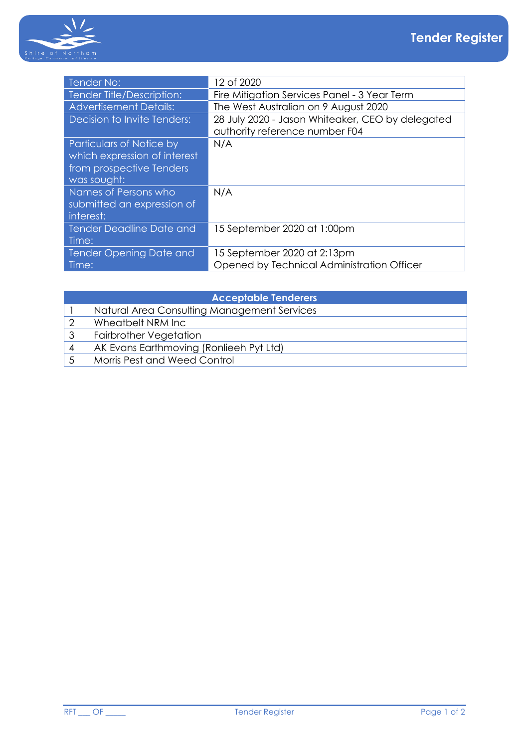

| Tender No:                                                                                          | 12 of 2020                                                                         |
|-----------------------------------------------------------------------------------------------------|------------------------------------------------------------------------------------|
| Tender Title/Description:                                                                           | Fire Mitigation Services Panel - 3 Year Term                                       |
| <b>Advertisement Details:</b>                                                                       | The West Australian on 9 August 2020                                               |
| Decision to Invite Tenders:                                                                         | 28 July 2020 - Jason Whiteaker, CEO by delegated<br>authority reference number F04 |
| Particulars of Notice by<br>which expression of interest<br>from prospective Tenders<br>was sought: | N/A                                                                                |
| Names of Persons who<br>submitted an expression of<br>interest:                                     | N/A                                                                                |
| Tender Deadline Date and<br>Time:                                                                   | 15 September 2020 at 1:00pm                                                        |
| Tender Opening Date and<br>Time:                                                                    | 15 September 2020 at 2:13pm<br>Opened by Technical Administration Officer          |

| <b>Acceptable Tenderers</b> |                                             |  |
|-----------------------------|---------------------------------------------|--|
|                             | Natural Area Consulting Management Services |  |
|                             | Wheatbelt NRM Inc                           |  |
| 3                           | <b>Fairbrother Vegetation</b>               |  |
|                             | AK Evans Earthmoving (Ronlieeh Pyt Ltd)     |  |
|                             | Morris Pest and Weed Control                |  |